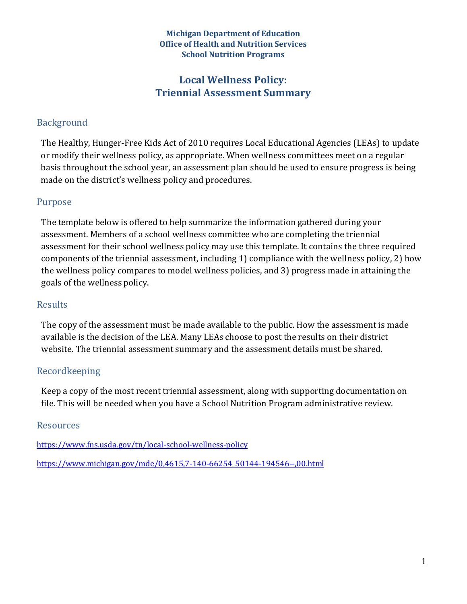#### **Michigan Department of Education Office of Health and Nutrition Services School Nutrition Programs**

# **Local Wellness Policy: Triennial Assessment Summary**

## Background

The Healthy, Hunger-Free Kids Act of 2010 requires Local Educational Agencies (LEAs) to update or modify their wellness policy, as appropriate. When wellness committees meet on a regular basis throughout the school year, an assessment plan should be used to ensure progress is being made on the district's wellness policy and procedures.

### Purpose

The template below is offered to help summarize the information gathered during your assessment. Members of a school wellness committee who are completing the triennial assessment for their school wellness policy may use this template. It contains the three required components of the triennial assessment, including 1) compliance with the wellness policy, 2) how the wellness policy compares to model wellness policies, and 3) progress made in attaining the goals of the wellness policy.

### Results

The copy of the assessment must be made available to the public. How the assessment is made available is the decision of the LEA. Many LEAs choose to post the results on their district website. The triennial assessment summary and the assessment details must be shared.

### Recordkeeping

Keep a copy of the most recent triennial assessment, along with supporting documentation on file. This will be needed when you have a School Nutrition Program administrative review.

### Resources

[https://www.fns.usda.gov/tn/local-school-wellness-policy](https://gcc01.safelinks.protection.outlook.com/?url=https%3A%2F%2Fwww.fns.usda.gov%2Ftn%2Flocal-school-wellness-policy&data=02%7C01%7CWoodC15%40michigan.gov%7C63b8f00e1cf547c4aed908d787c27f56%7Cd5fb7087377742ad966a892ef47225d1%7C0%7C0%7C637127141897074960&sdata=7j%2BzxZb3aiHyIEaM6RvOuOzBvyw6PsM%2BkPr3T3DNMOA%3D&reserved=0)

[https://www.michigan.gov/mde/0,4615,7-140-66254\\_50144-194546--,00.html](https://gcc01.safelinks.protection.outlook.com/?url=https%3A%2F%2Fwww.michigan.gov%2Fmde%2F0%2C4615%2C7-140-66254_50144-194546--%2C00.html&data=02%7C01%7CWoodC15%40michigan.gov%7C63b8f00e1cf547c4aed908d787c27f56%7Cd5fb7087377742ad966a892ef47225d1%7C0%7C0%7C637127141897084956&sdata=k9ywqPPJoetUO59OBvugbKmC0hfP1mXFUfdjejgABiE%3D&reserved=0)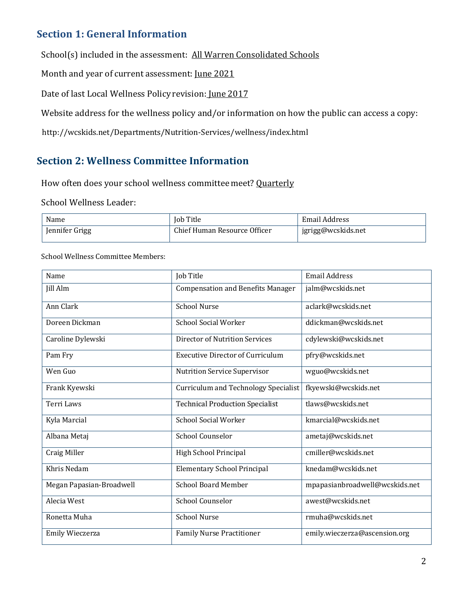# **Section 1: General Information**

School(s) included in the assessment: All Warren Consolidated Schools

Month and year of current assessment: June 2021

Date of last Local Wellness Policy revision: June 2017

Website address for the wellness policy and/or information on how the public can access a copy:

http://wcskids.net/Departments/Nutrition-Services/wellness/index.html

# **Section 2: Wellness Committee Information**

How often does your school wellness committee meet? Quarterly

#### School Wellness Leader:

| Name           | Job Title                    | Email Address      |
|----------------|------------------------------|--------------------|
| Jennifer Grigg | Chief Human Resource Officer | jgrigg@wcskids.net |

#### School Wellness Committee Members:

| Name                     | Job Title                                | <b>Email Address</b>           |
|--------------------------|------------------------------------------|--------------------------------|
| <b>Jill Alm</b>          | <b>Compensation and Benefits Manager</b> | jalm@wcskids.net               |
| Ann Clark                | <b>School Nurse</b>                      | aclark@wcskids.net             |
| Doreen Dickman           | School Social Worker                     | ddickman@wcskids.net           |
| Caroline Dylewski        | Director of Nutrition Services           | cdylewski@wcskids.net          |
| Pam Fry                  | <b>Executive Director of Curriculum</b>  | pfry@wcskids.net               |
| Wen Guo                  | Nutrition Service Supervisor             | wguo@wcskids.net               |
| Frank Kyewski            | Curriculum and Technology Specialist     | fkyewski@wcskids.net           |
| Terri Laws               | <b>Technical Production Specialist</b>   | tlaws@wcskids.net              |
| Kyla Marcial             | <b>School Social Worker</b>              | kmarcial@wcskids.net           |
| Albana Metaj             | <b>School Counselor</b>                  | ametaj@wcskids.net             |
| Craig Miller             | High School Principal                    | cmiller@wcskids.net            |
| Khris Nedam              | <b>Elementary School Principal</b>       | knedam@wcskids.net             |
| Megan Papasian-Broadwell | <b>School Board Member</b>               | mpapasianbroadwell@wcskids.net |
| Alecia West              | <b>School Counselor</b>                  | awest@wcskids.net              |
| Ronetta Muha             | <b>School Nurse</b>                      | rmuha@wcskids.net              |
| Emily Wieczerza          | <b>Family Nurse Practitioner</b>         | emily.wieczerza@ascension.org  |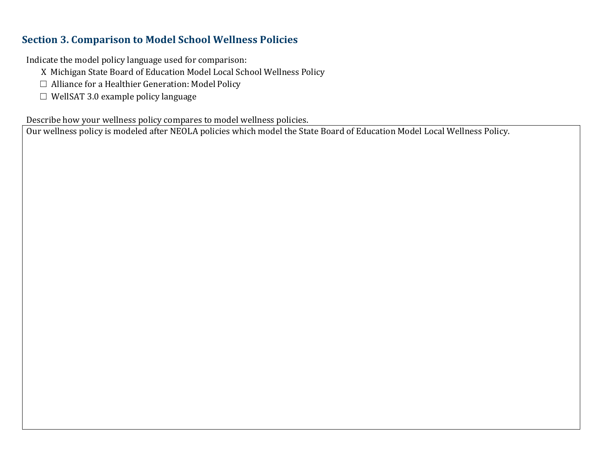## **Section 3. Comparison to Model School Wellness Policies**

Indicate the model policy language used for comparison:

- X Michigan State Board of Education Model Local School Wellness Policy
- ☐ Alliance for a Healthier Generation: Model Policy
- $\Box$  WellSAT 3.0 example policy language

Describe how your wellness policy compares to model wellness policies.

Our wellness policy is modeled after NEOLA policies which model the State Board of Education Model Local Wellness Policy.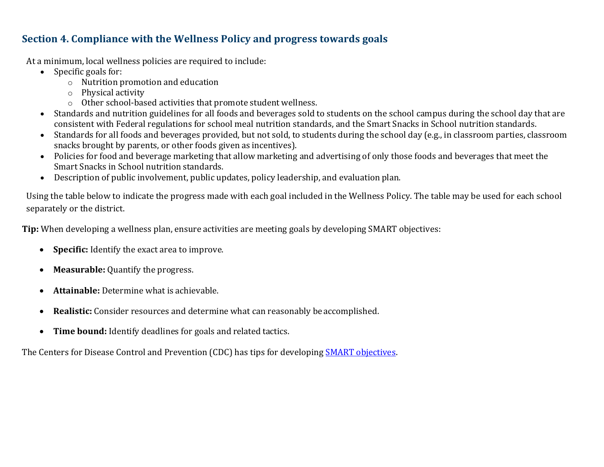# **Section 4. Compliance with the Wellness Policy and progress towards goals**

At a minimum, local wellness policies are required to include:

- Specific goals for:
	- o Nutrition promotion and education
	- o Physical activity
	- o Other school-based activities that promote student wellness.
- Standards and nutrition guidelines for all foods and beverages sold to students on the school campus during the school day that are consistent with Federal regulations for school meal nutrition standards, and the Smart Snacks in School nutrition standards.
- Standards for all foods and beverages provided, but not sold, to students during the school day (e.g., in classroom parties, classroom snacks brought by parents, or other foods given as incentives).
- Policies for food and beverage marketing that allow marketing and advertising of only those foods and beverages that meet the Smart Snacks in School nutrition standards.
- Description of public involvement, public updates, policy leadership, and evaluation plan.

Using the table below to indicate the progress made with each goal included in the Wellness Policy. The table may be used for each school separately or the district.

**Tip:** When developing a wellness plan, ensure activities are meeting goals by developing SMART objectives:

- **Specific:** Identify the exact area to improve.
- **Measurable:** Quantify the progress.
- **Attainable:** Determine what is achievable.
- **Realistic:** Consider resources and determine what can reasonably be accomplished.
- **Time bound:** Identify deadlines for goals and related tactics.

The Centers for Disease Control and Prevention (CDC) has tips for developing [SMART objectives.](https://www.cdc.gov/phcommunities/resourcekit/evaluate/smart_objectives.html)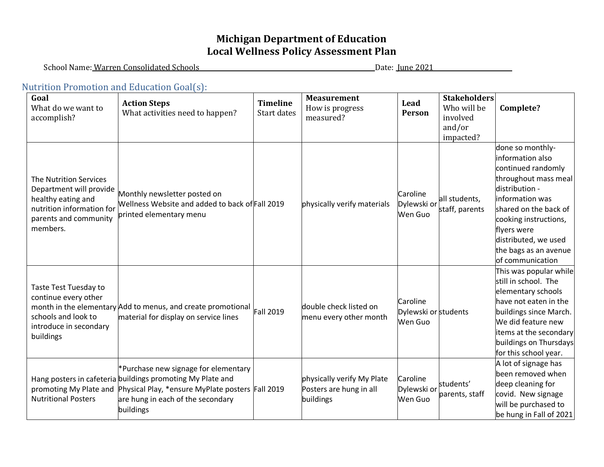# **Michigan Department of Education Local Wellness Policy Assessment Plan**

School Name: Warren Consolidated Schools Date: June 2021

### Nutrition Promotion and Education Goal(s):

| Goal<br>What do we want to<br>accomplish?                                                                                                 | <b>Action Steps</b><br>What activities need to happen?                                                                                                                                                   | <b>Timeline</b><br>Start dates | <b>Measurement</b><br>How is progress<br>measured?                 | Lead<br>Person                              | <b>Stakeholders</b><br>Who will be<br>involved<br>and/or<br>impacted? | Complete?                                                                                                                                                                                                                                                     |
|-------------------------------------------------------------------------------------------------------------------------------------------|----------------------------------------------------------------------------------------------------------------------------------------------------------------------------------------------------------|--------------------------------|--------------------------------------------------------------------|---------------------------------------------|-----------------------------------------------------------------------|---------------------------------------------------------------------------------------------------------------------------------------------------------------------------------------------------------------------------------------------------------------|
| The Nutrition Services<br>Department will provide<br>healthy eating and<br>nutrition information for<br>parents and community<br>members. | Monthly newsletter posted on<br>Wellness Website and added to back of Fall 2019<br>printed elementary menu                                                                                               |                                | physically verify materials                                        | Caroline<br>Dylewski or<br>Wen Guo          | all students,<br>staff, parents                                       | done so monthly-<br>information also<br>continued randomly<br>throughout mass meal<br>distribution -<br>information was<br>shared on the back of<br>cooking instructions,<br>flyers were<br>distributed, we used<br>the bags as an avenue<br>of communication |
| Taste Test Tuesday to<br>continue every other<br>schools and look to<br>introduce in secondary<br>buildings                               | month in the elementary Add to menus, and create promotional<br>material for display on service lines                                                                                                    | Fall 2019                      | double check listed on<br>menu every other month                   | Caroline<br>Dylewski or students<br>Wen Guo |                                                                       | This was popular while<br>still in school. The<br>elementary schools<br>have not eaten in the<br>buildings since March.<br>We did feature new<br>items at the secondary<br>buildings on Thursdays<br>for this school year.                                    |
| promoting My Plate and<br><b>Nutritional Posters</b>                                                                                      | *Purchase new signage for elementary<br>Hang posters in cafeteria buildings promoting My Plate and<br>Physical Play, *ensure MyPlate posters Fall 2019<br>are hung in each of the secondary<br>buildings |                                | physically verify My Plate<br>Posters are hung in all<br>buildings | Caroline<br>Dylewski or<br>Wen Guo          | students'<br>parents, staff                                           | A lot of signage has<br>been removed when<br>deep cleaning for<br>covid. New signage<br>will be purchased to<br>be hung in Fall of 2021                                                                                                                       |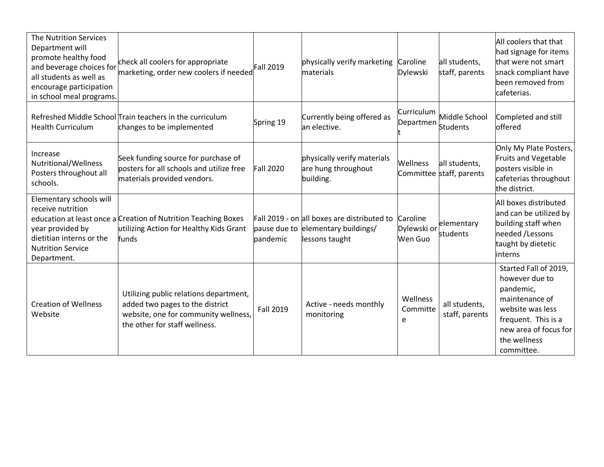| The Nutrition Services<br>Department will<br>promote healthy food<br>and beverage choices for<br>all students as well as<br>encourage participation<br>in school meal programs. | check all coolers for appropriate<br>marketing, order new coolers if needed                                                                        | <b>Fall 2019</b> | physically verify marketing<br>materials                                                            | Caroline<br><b>Dylewski</b>        | all students,<br>staff, parents           | All coolers that that<br>had signage for items<br>that were not smart<br>snack compliant have<br>been removed from<br>cafeterias.                                        |
|---------------------------------------------------------------------------------------------------------------------------------------------------------------------------------|----------------------------------------------------------------------------------------------------------------------------------------------------|------------------|-----------------------------------------------------------------------------------------------------|------------------------------------|-------------------------------------------|--------------------------------------------------------------------------------------------------------------------------------------------------------------------------|
| <b>Health Curriculum</b>                                                                                                                                                        | Refreshed Middle School Train teachers in the curriculum<br>changes to be implemented                                                              | Spring 19        | Currently being offered as<br>an elective.                                                          | Curriculum<br>Departmen            | Middle School<br><b>Students</b>          | Completed and still<br>offered                                                                                                                                           |
| Increase<br>Nutritional/Wellness<br>Posters throughout all<br>schools.                                                                                                          | Seek funding source for purchase of<br>posters for all schools and utilize free<br>materials provided vendors.                                     | <b>Fall 2020</b> | physically verify materials<br>are hung throughout<br>building.                                     | <b>Wellness</b>                    | all students,<br>Committee staff, parents | Only My Plate Posters,<br>Fruits and Vegetable<br>posters visible in<br>cafeterias throughout<br>the district.                                                           |
| Elementary schools will<br>receive nutrition<br>year provided by<br>dietitian interns or the<br><b>Nutrition Service</b><br>Department.                                         | education at least once a Creation of Nutrition Teaching Boxes<br>utilizing Action for Healthy Kids Grant<br>funds                                 | pandemic         | Fall 2019 - on all boxes are distributed to<br>pause due to elementary buildings/<br>lessons taught | Caroline<br>Dylewski or<br>Wen Guo | elementary<br>students                    | All boxes distributed<br>and can be utilized by<br>building staff when<br>needed /Lessons<br>taught by dietetic<br><b>linterns</b>                                       |
| <b>Creation of Wellness</b><br>Website                                                                                                                                          | Utilizing public relations department,<br>added two pages to the district<br>website, one for community wellness,<br>the other for staff wellness. | <b>Fall 2019</b> | Active - needs monthly<br>monitoring                                                                | Wellness<br>Committe<br>e          | all students,<br>staff, parents           | Started Fall of 2019,<br>however due to<br>pandemic,<br>maintenance of<br>website was less<br>frequent. This is a<br>new area of focus for<br>the wellness<br>committee. |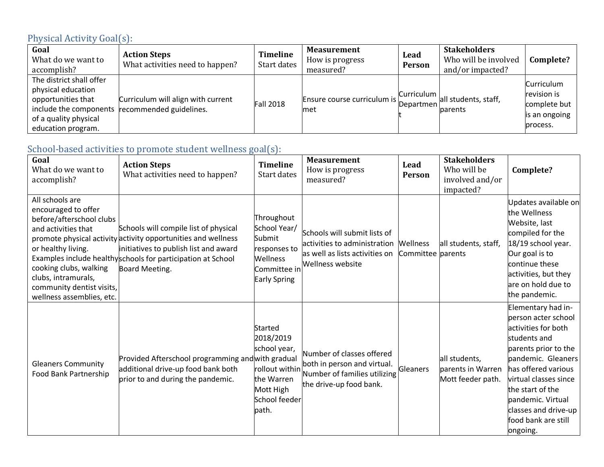# Physical Activity Goal(s):

| Goal<br>What do we want to<br>accomplish?                                                                           | <b>Action Steps</b><br>What activities need to happen?                               | <b>Timeline</b><br>Start dates | <b>Measurement</b><br>How is progress<br>measured?   | Lead<br>Person | <b>Stakeholders</b><br>Who will be involved<br>and/or impacted? | Complete?                                                              |
|---------------------------------------------------------------------------------------------------------------------|--------------------------------------------------------------------------------------|--------------------------------|------------------------------------------------------|----------------|-----------------------------------------------------------------|------------------------------------------------------------------------|
| The district shall offer<br>physical education<br>opportunities that<br>of a quality physical<br>education program. | Curriculum will align with current<br>include the components recommended guidelines. | <b>Fall 2018</b>               | Ensure course curriculum is Uninonion all of<br>lmet |                | all students, staff,<br>parents                                 | Curriculum<br>revision is<br>complete but<br>is an ongoing<br>process. |

# School-based activities to promote student wellness goal(s):

| Goal<br>What do we want to<br>accomplish?                                                                                                                                                                                  | <b>Action Steps</b><br>What activities need to happen?                                                                                                                                                                           | <b>Timeline</b><br>Start dates                                                                              | <b>Measurement</b><br>How is progress<br>measured?                                                                                                   | Lead<br><b>Person</b> | <b>Stakeholders</b><br>Who will be<br>involved and/or<br>impacted? | Complete?                                                                                                                                                                                                                                                                          |
|----------------------------------------------------------------------------------------------------------------------------------------------------------------------------------------------------------------------------|----------------------------------------------------------------------------------------------------------------------------------------------------------------------------------------------------------------------------------|-------------------------------------------------------------------------------------------------------------|------------------------------------------------------------------------------------------------------------------------------------------------------|-----------------------|--------------------------------------------------------------------|------------------------------------------------------------------------------------------------------------------------------------------------------------------------------------------------------------------------------------------------------------------------------------|
| All schools are<br>encouraged to offer<br>before/afterschool clubs<br>and activities that<br>or healthy living.<br>cooking clubs, walking<br>clubs, intramurals,<br>community dentist visits,<br>wellness assemblies, etc. | Schools will compile list of physical<br>promote physical activity activity opportunities and wellness<br>initiatives to publish list and award<br>Examples include healthyschools for participation at School<br>Board Meeting. | Throughout<br>School Year/<br>Submit<br>responses to<br>Wellness<br>Committee in<br>Early Spring            | Schools will submit lists of<br>activities to administration Mellness<br>as well as lists activities on Committee parents<br><b>Wellness website</b> |                       | all students, staff,                                               | Updates available on<br>the Wellness<br>Website, last<br>compiled for the<br>18/19 school year.<br>Our goal is to<br>continue these<br>activities, but they<br>are on hold due to<br>the pandemic.                                                                                 |
| <b>Gleaners Community</b><br>Food Bank Partnership                                                                                                                                                                         | Provided Afterschool programming and with gradual<br>additional drive-up food bank both<br>prior to and during the pandemic.                                                                                                     | Started<br>2018/2019<br>school year,<br>rollout within<br>the Warren<br>Mott High<br>School feeder<br>path. | Number of classes offered<br>both in person and virtual.<br>Number of families utilizing<br>the drive-up food bank.                                  | Gleaners              | all students,<br>parents in Warren<br>Mott feeder path.            | Elementary had in-<br>person acter school<br>activities for both<br>students and<br>parents prior to the<br>pandemic. Gleaners<br>has offered various<br>virtual classes since<br>the start of the<br>pandemic. Virtual<br>classes and drive-up<br>food bank are still<br>ongoing. |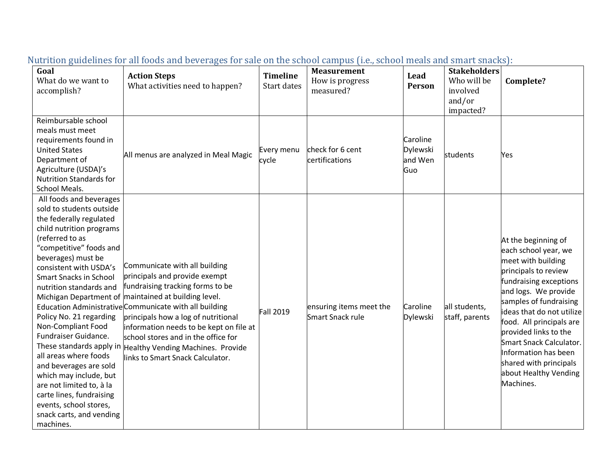| Goal<br>What do we want to<br>accomplish?                                                                                                                                                                                                                                                                                                                                                                                                                                                                                                             | <b>Action Steps</b><br>What activities need to happen?                                                                                                                                                                                                                                                                                                                                                                                          | <b>Timeline</b><br>Start dates | <b>Measurement</b><br>How is progress<br>measured? | Lead<br>Person                         | <b>Stakeholders</b><br>Who will be<br>involved<br>and/or<br>impacted? | Complete?                                                                                                                                                                                                                                                                                                                                                                  |
|-------------------------------------------------------------------------------------------------------------------------------------------------------------------------------------------------------------------------------------------------------------------------------------------------------------------------------------------------------------------------------------------------------------------------------------------------------------------------------------------------------------------------------------------------------|-------------------------------------------------------------------------------------------------------------------------------------------------------------------------------------------------------------------------------------------------------------------------------------------------------------------------------------------------------------------------------------------------------------------------------------------------|--------------------------------|----------------------------------------------------|----------------------------------------|-----------------------------------------------------------------------|----------------------------------------------------------------------------------------------------------------------------------------------------------------------------------------------------------------------------------------------------------------------------------------------------------------------------------------------------------------------------|
| Reimbursable school<br>meals must meet<br>requirements found in<br><b>United States</b><br>Department of<br>Agriculture (USDA)'s<br><b>Nutrition Standards for</b><br>School Meals.                                                                                                                                                                                                                                                                                                                                                                   | All menus are analyzed in Meal Magic                                                                                                                                                                                                                                                                                                                                                                                                            | Every menu<br>cycle            | check for 6 cent<br>certifications                 | Caroline<br>Dylewski<br>and Wen<br>Guo | students                                                              | Yes                                                                                                                                                                                                                                                                                                                                                                        |
| All foods and beverages<br>sold to students outside<br>the federally regulated<br>child nutrition programs<br>(referred to as<br>"competitive" foods and<br>beverages) must be<br>consistent with USDA's<br><b>Smart Snacks in School</b><br>nutrition standards and<br>Policy No. 21 regarding<br>Non-Compliant Food<br>Fundraiser Guidance.<br>all areas where foods<br>and beverages are sold<br>which may include, but<br>are not limited to, à la<br>carte lines, fundraising<br>events, school stores,<br>snack carts, and vending<br>machines. | Communicate with all building<br>principals and provide exempt<br>fundraising tracking forms to be<br>Michigan Department of maintained at building level.<br>Education Administrative Communicate with all building<br>principals how a log of nutritional<br>information needs to be kept on file at<br>school stores and in the office for<br>These standards apply in Healthy Vending Machines. Provide<br>links to Smart Snack Calculator. | <b>Fall 2019</b>               | ensuring items meet the<br>Smart Snack rule        | Caroline<br>Dylewski                   | all students,<br>staff, parents                                       | At the beginning of<br>each school year, we<br>meet with building<br>principals to review<br>fundraising exceptions<br>and logs. We provide<br>samples of fundraising<br>ideas that do not utilize<br>food. All principals are<br>provided links to the<br>Smart Snack Calculator.<br>Information has been<br>shared with principals<br>about Healthy Vending<br>Machines. |

# Nutrition guidelines for all foods and beverages for sale on the school campus (i.e., school meals and smart snacks):